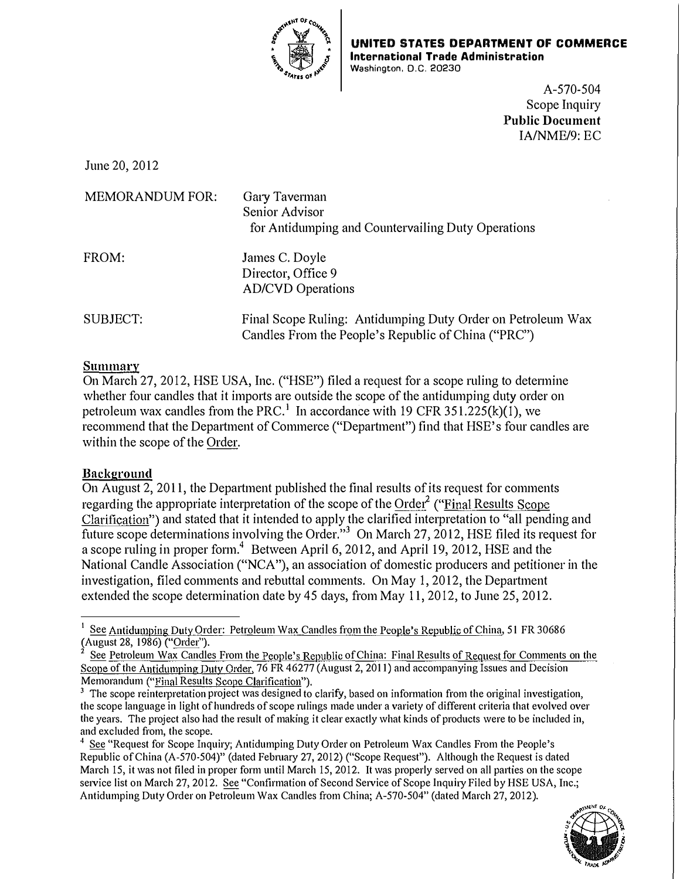

UNITED STATES DEPARTMENT OF COMMERCE International Trade Administration Washington, D.C. 20230

> A-570-504 Scope Inquiry Public Document IA/NME/9: EC

June 20, 2012

| MEMORANDUM FOR: | Gary Taverman<br>Senior Advisor<br>for Antidumping and Countervailing Duty Operations                              |
|-----------------|--------------------------------------------------------------------------------------------------------------------|
| FROM:           | James C. Doyle<br>Director, Office 9<br><b>AD/CVD</b> Operations                                                   |
| SUBJECT:        | Final Scope Ruling: Antidumping Duty Order on Petroleum Wax<br>Candles From the People's Republic of China ("PRC") |

# Summary

On March 27, 2012, HSE USA, Inc. ("HSE") filed a request for a scope ruling to determine whether four candles that it imports are outside the scope of the antidumping duty order on petroleum wax candles from the PRC.<sup>1</sup> In accordance with 19 CFR 351.225(k)(1), we recommend that the Department of Commerce ("Department") find that HSE's four candles are within the scope of the Order.

# Background

On August 2, 2011, the Department published the final results of its request for comments regarding the appropriate interpretation of the scope of the Order<sup>2</sup> ("Final Results Scope Clarification") and stated that it intended to apply the clarified interpretation to "all pending and future scope determinations involving the Order."3 On March 27,2012, HSE filed its request for a scope ruling in proper form.<sup>4</sup> Between April 6, 2012, and April 19, 2012, HSE and the National Candle Association ("NCA"), an association of domestic producers and petitioner in the investigation, filed comments and rebuttal comments. On May 1, 2012, the Department extended the scope determination date by 45 days, from May 11, 2012, to June 25, 2012.

<sup>&</sup>lt;sup>4</sup> See "Request for Scope Inquiry; Antidumping Duty Order on Petroleum Wax Candles From the People's Republic of China (A-570-504)" (dated February 27, 2012) ("Scope Request"). Although the Request is dated March 15, it was not filed in proper form until March 15, 2012. It was properly served on all parties on the scope service list on March 27, 2012. See "Confirmation of Second Service of Scope Inquhy Filed by HSE USA, Inc.; Antidumping Duty Order on Petroleum Wax Candles from China; A-570-504" (dated March 27, 2012).



<sup>1</sup> See Antidumping Duty Order: Petroleum Wax Candles from the People's Republic of China, 51 FR 30686 (August 28, 1986) ("Order").

See Petroleum Wax Candles From the People's Republic of China: Final Results of Request for Comments on the Scope of the Antidumping Duty Order, 76 FR 46277 (August 2, 2011) and accompanying Issues and Decision Memorandum ("Final Results Scope Clarification").

<sup>&</sup>lt;sup>3</sup> The scope reinterpretation project was designed to clarify, based on information from the original investigation, the scope language in light of hundreds of scope rulings made under a variety of different criteria that evolved over the years. The project also had the result of making it clear exactly what kinds of products were to be included in, and excluded from, the scope.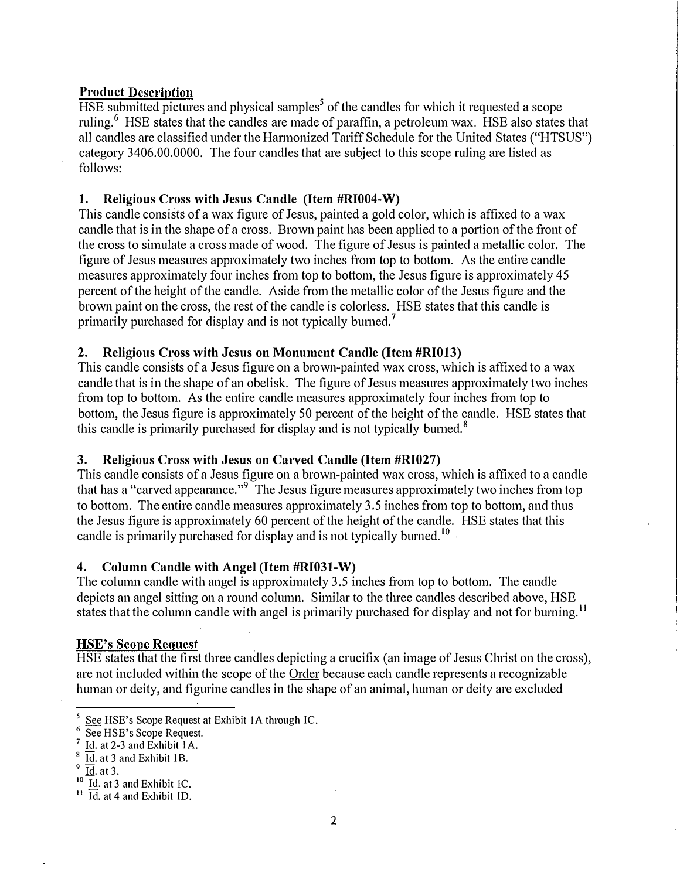### Product Description

 $HSE$  submitted pictures and physical samples<sup>5</sup> of the candles for which it requested a scope ruling.<sup>6</sup> HSE states that the candles are made of paraffin, a petroleum wax. HSE also states that all candles are classified under the Harmonized Tariff Schedule for the United States ("HTSUS") category 3406.00.0000. The four candles that are subject to this scope ruling are listed as follows:

## 1. Religious Cross with Jesus Candle (Item #RI004-W)

This candle consists of a wax figure of Jesus, painted a gold color, which is affixed to a wax candle that is in the shape of a cross. Brown paint has been applied to a portion of the front of the cross to simulate a cross made of wood. The figure of Jesus is painted a metallic color. The figure of Jesus measures approximately two inches from top to bottom. As the entire candle measures approximately four inches from top to bottom, the Jesus figure is approximately 45 percent of the height of the candle. Aside from the metallic color of the Jesus figure and the brown paint on the cross, the rest of the candle is colorless. HSE states that this candle is primarily purchased for display and is not typically burned.<sup>7</sup>

### 2. Religious Cross with Jesus on Monument Candle (Item #RI013)

This candle consists of a Jesus figure on a brown-painted wax cross, which is affixed to a wax candle that is in the shape of an obelisk. The figure of Jesus measures approximately two inches from top to bottom. As the entire candle measures approximately four inches from top to bottom, the Jesus figure is approximately 50 percent of the height of the candle. HSE states that this candle is primarily purchased for display and is not typically burned.<sup>8</sup>

## 3. Religious Cross with Jesus on Carved Candle (Item #RI027)

This candle consists of a Jesus figure on a brown-painted wax cross, which is affixed to a candle that has a "carved appearance. "9 The Jesus figure measures approximately two inches from top to bottom. The entire candle measures approximately 3.5 inches from top to bottom, and thus the Jesus figure is approximately 60 percent of the height of the candle. HSE states that this candle is primarily purchased for display and is not typically burned.<sup>10</sup>

## 4. Column Candle with Angel (Item #RI031-W)

The column candle with angel is approximately 3.5 inches from top to bottom. The candle depicts an angel sitting on a round column. Similar to the three candles described above, HSE states that the column candle with angel is primarily purchased for display and not for burning.<sup>11</sup>

### HSE's Scope Request

HSE states that the first three candles depicting a crucifix (an image of Jesus Christ on the cross), are not included within the scope of the Order because each candle represents a recognizable human or deity, and figurine candles in the shape of an animal, human or deity are excluded

 $<sup>5</sup>$  See HSE's Scope Request at Exhibit 1A through IC.</sup>

See HSE's Scope Request.

Id. at 2-3 and Exhibit 1A.

<sup>1</sup>d. at 3 and Exhibit 1B.

 $\frac{9}{10}$  Id. at 3.

Id. at 3 and Exhibit 1C.

 $11$   $\overline{Id}$ , at 4 and Exhibit ID.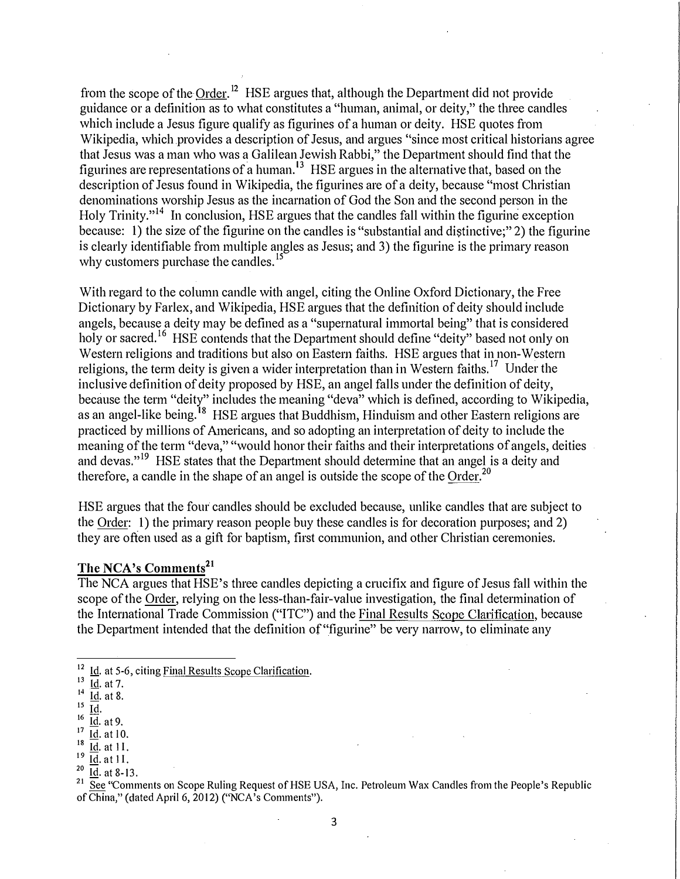from the scope of the Order.<sup>12</sup> HSE argues that, although the Department did not provide guidance or a definition as to what constitutes a "human, animal, or deity," the three candles which include a Jesus figure qualify as figurines of a human or deity. HSE quotes from Wikipedia, which provides a description of Jesus, and argues "since most critical historians agree that Jesus was a man who was a Galilean Jewish Rabbi," the Department should find that the figurines are representations of a human.<sup>13</sup> HSE argues in the alternative that, based on the description of Jesus found in Wikipedia, the figurines are of a deity, because "most Christian denominations worship Jesus as the incarnation of God the Son and the second person in the Holy Trinity."<sup>14</sup> In conclusion, HSE argues that the candles fall within the figurine exception because: 1) the size of the figurine on the candles is "substantial and distinctive;" 2) the figurine is clearly identifiable from multiple angles as Jesus; and 3) the figurine is the primary reason why customers purchase the candles.<sup>15</sup>

With regard to the column candle with angel, citing the Online Oxford Dictionary, the Free Dictionary by Farlex, and Wikipedia, HSE argues that the definition of deity should include angels, because a deity may be defined as a "supernatural immortal being" that is considered holy or sacred.<sup>16</sup> HSE contends that the Department should define "deity" based not only on Western religions and traditions but also on Eastern faiths. HSE argues that in non-Western religions, the term deity is given a wider interpretation than in Western faiths.<sup>17</sup> Under the inclusive definition of deity proposed by HSE, an angel falls under the definition of deity, because the term "deity" includes the meaning "deva" which is defined, according to Wikipedia, as an angel-like being.<sup>18</sup> HSE argues that Buddhism, Hinduism and other Eastern religions are practiced by millions of Americans, and so adopting an interpretation of deity to include the meaning of the term "deva," "would honor their faiths and their interpretations of angels, deities and devas."<sup>19</sup> HSE states that the Department should determine that an angel is a deity and therefore, a candle in the shape of an angel is outside the scope of the Order.<sup>20</sup>

HSE argues that the four candles should be excluded because, unlike candles that are subject to the Order: 1) the primary reason people buy these candles is for decoration purposes; and 2) they are often used as a gift for baptism, first connnunion, and other Christian ceremonies.

# The NCA's Comments<sup>21</sup>

The NCA argues that HSE's three candles depicting a crucifix and figure of Jesus fall within the scope of the Order, relying on the less-than-fair-value investigation, the final determination of the International Trade Commission ("ITC") and the Final Results Scope Clarification, because the Department intended that the definition of"figurine" be very narrow, to eliminate any

<sup>21</sup>  $\overline{\text{See}}$  "Comments on Scope Ruling Request of HSE USA, Inc. Petroleum Wax Candles from the People's Republic of China," (dated April 6, 2012) ("NCA's Comments").

 $\frac{12}{14}$  ld. at 5-6, citing Final Results Scope Clarification.

<sup>&</sup>lt;u>Id.</u> at 7.

 $^{14}$   $\frac{14}{10}$  at 8.

 $^{15}$  Id.

<sup>16&</sup>lt;br>17 <sup>6</sup>!d. at 9.

Id. at 10.

<sup>18&</sup>lt;br>19 Id. at 1I.

 $\frac{19}{20}$   $\frac{Id}{14}$  at 11.

<sup>1</sup>d. at 8-13.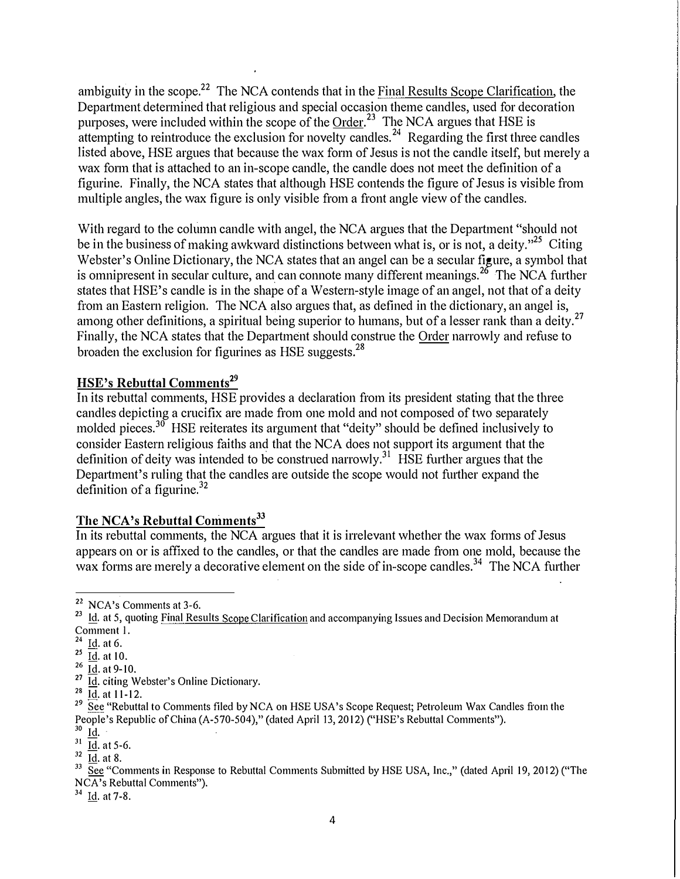ambiguity in the scope.<sup>22</sup> The NCA contends that in the Final Results Scope Clarification, the Department determined that religious and special occasion theme candles, used for decoration purposes, were included within the scope of the  $Order<sup>23</sup>$ . The NCA argues that HSE is attempting to reintroduce the exclusion for novelty candles.<sup>24</sup> Regarding the first three candles listed above, HSE argues that because the wax form of Jesus is not the candle itself, but merely a wax form that is attached to an in-scope candle, the candle does not meet the definition of a figurine. Finally, the NCA states that although HSE contends the figure of Jesus is visible from multiple angles, the wax figure is only visible from a front angle view of the candles.

With regard to the column candle with angel, the NCA argues that the Department "should not be in the business of making awkward distinctions between what is, or is not, a deity."<sup>25</sup> Citing Webster's Online Dictionary, the NCA states that an angel can be a secular figure, a symbol that is omnipresent in secular culture, and can connote many different meanings.<sup>26</sup> The NCA further states that HSE's candle is in the shape of a Western-style image of an angel, not that of a deity from an Eastern religion. The NCA also argues that, as defined in the dictionary, an angel is, among other definitions, a spiritual being superior to humans, but of a lesser rank than a deity.<sup>27</sup> Finally, the NCA states that the Department should construe the Order narrowly and refuse to broaden the exclusion for figurines as HSE suggests. $^{28}$ 

# HSE's Rebuttal Comments<sup>29</sup>

In its rebuttal comments, HSE provides a declaration from its president stating that the three candles depicting a crucifix are made from one mold and not composed of two separately molded pieces.<sup>30</sup> HSE reiterates its argument that "deity" should be defined inclusively to consider Eastern religious faiths and that the NCA does not support its argument that the definition of deity was intended to be construed narrowly.<sup>31</sup> HSE further argues that the Department's ruling that the candles are outside the scope would not further expand the definition of a figurine.<sup>32</sup>

## The NCA's Rebuttal Comments<sup>33</sup>

In its rebuttal comments, the NCA argues that it is irrelevant whether the wax forms of Jesus appears on or is affixed to the candles, or that the candles are made from one mold, because the wax forms are merely a decorative element on the side of in-scope candles.<sup>34</sup> The NCA further

 $22$  NCA's Comments at 3-6.

<sup>&</sup>lt;sup>23</sup> Id. at 5, quoting Final Results Scope Clarification and accompanying Issues and Decision Memorandum at Comment 1.

 $^{24}$  Id. at 6.

<sup>&</sup>lt;sup>25</sup>  $\frac{1}{\underline{d}}$  at 10.

 $rac{26}{27}$   $\frac{\overline{Id}}{\overline{Id}}$ . at 9-10.

Id. citing Webster's Online Dictionary.

 $^{28}$  Id. at 11-12.

 $^{29}$  See "Rebuttal to Comments filed by NCA on HSE USA's Scope Request; Petroleum Wax Candles from the People's Republic of China (A-570-504)," (dated April 13, 2012) ("HSE's Rebuttal Comments").

 $30 \underline{\text{Id}}$ .

 $31 \frac{10}{10}$ . at 5-6.

 $32 \overline{Id}$ . at 8.

 $33\text{}$  See "Comments in Response to Rebuttal Comments Submitted by HSE USA, Inc.," (dated April 19, 2012) ("The NCA's Rebuttal Comments").

 $34$  Id. at 7-8.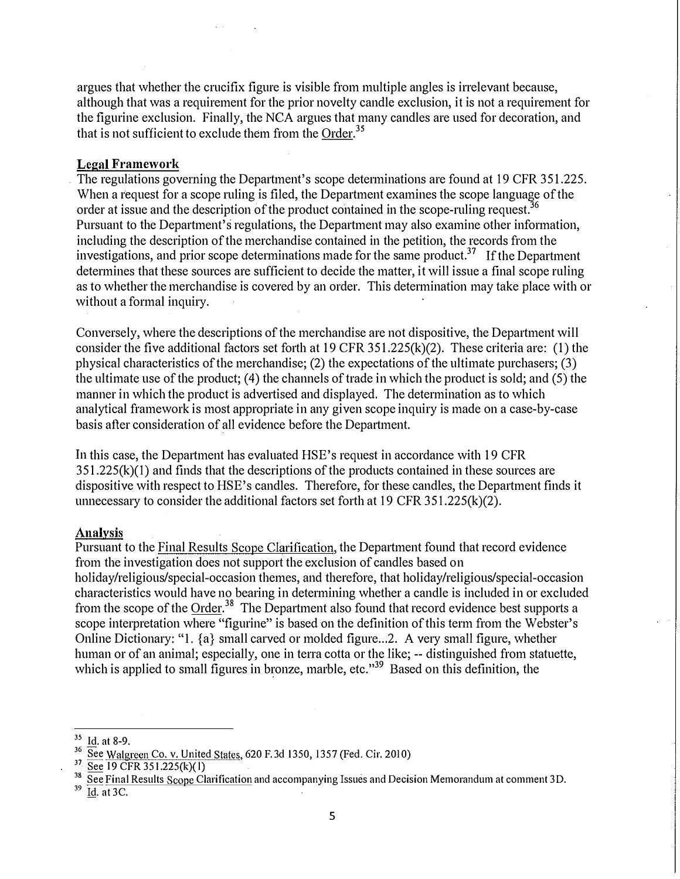argues that whether the crucifix figure is visible from multiple angles is irrelevant because, although that was a requirement for the prior novelty candle exclusion, it is not a requirement for the figurine exclusion. Finally, the NCA argues that many candles are used for decoration, and that is not sufficient to exclude them from the Order.<sup>35</sup>

## **Legal Framework**

. The regulations governing the Department's scope determinations are found at 19 CFR 351.225. When a request for a scope ruling is filed, the Department examines the scope language of the order at issue and the description of the product contained in the scope-ruling request.<sup>36</sup> Pursuant to the Department's regulations, the Department may also examine other information, including the description of the merchandise contained in the petition, the records from the investigations, and prior scope determinations made for the same product.<sup>37</sup> If the Department determines that these sources are sufficient to decide the matter, it will issue a final scope ruling as to whether the merchandise is covered by an order. This determination may take place with or without a formal inquiry.

Conversely, where the descriptions of the merchandise are not dispositive, the Department will consider the five additional factors set forth at 19 CFR 351.225(k)(2). These criteria are: (1) the physical characteristics of the merchandise; (2) the expectations of the ultimate purchasers; (3) the ultimate use of the product; (4) the channels of trade in which the product is sold; and (5) the manner in which the product is advertised and displayed. The determination as to which analytical framework is most appropriate in any given scope inquiry is made on a case-by-case basis after consideration of all evidence before the Depattment.

In this case, the Department has evaluated HSE's request in accordance with 19 CFR 351.225(k)(1) and finds that the descriptions of the products contained in these sources are dispositive with respect to HSE's candles. Therefore, for these candles, the Department finds it unnecessary to consider the additional factors set forth at 19 CFR 351.225(k)(2).

### Analysis

Pursuant to the Final Results Scope Clarification, the Department found that record evidence from the investigation does not support the exclusion of candles based on holiday/religious/special-occasion themes, and therefore, that holiday/religious/special-occasion characteristics would have no bearing in determining whether a candle is included in or excluded from the scope of the Order.<sup>38</sup> The Department also found that record evidence best supports a scope interpretation where "figurine" is based on the definition of this term from the Webster's Online Dictionary: "1.  $\{a\}$  small carved or molded figure...2. A very small figure, whether human or of an animal; especially, one in terra cotta or the like; -- distinguished from statuette, which is applied to small figures in bronze, marble, etc."<sup>39</sup> Based on this definition, the

<sup>&</sup>lt;sup>35</sup> Id. at 8-9.

 $\frac{36}{10}$  See Walgreen Co. v. United States, 620 F. 3d 1350, 1357 (Fed. Cir. 2010)

 $3'$  See I9 CFR 351.225(k)(1)

 $\frac{38}{38}$  See Final Results Scope Clarification and accompanying Issues and Decision Memorandum at comment 3D.

 $39 \overline{Id}$ . at 3C.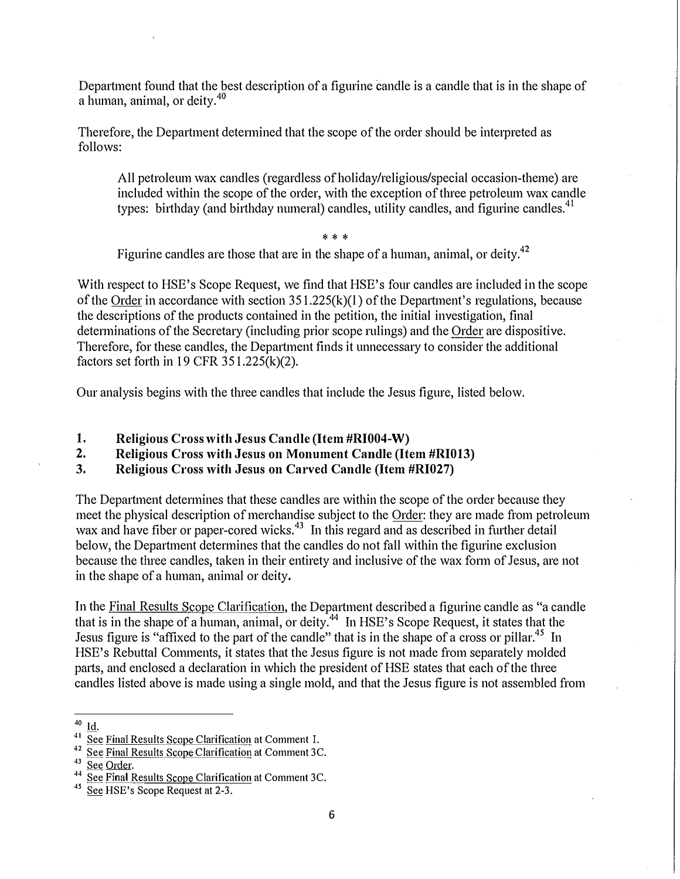Department found that the best description of a figurine candle is a candle that is in the shape of a human, animal, or deity.<sup>40</sup>

Therefore, the Department determined that the scope of the order should be interpreted as follows:

All petroleum wax candles (regardless of holiday/religious/special occasion-theme) are included within the scope of the order, with the exception of three petroleum wax candle types: birthday (and birthday numeral) candles, utility candles, and figurine candles.<sup>41</sup>

\* \* \*

Figurine candles are those that are in the shape of a human, animal, or deity.<sup>42</sup>

With respect to HSE's Scope Request, we find that HSE's four candles are included in the scope of the Order in accordance with section  $351.225(k)(1)$  of the Department's regulations, because the descriptions of the products contained in the petition, the initial investigation, final determinations of the Secretary (including prior scope rulings) and the Order are dispositive. Therefore, for these candles, the Department finds it unnecessary to consider the additional factors set forth in 19 CFR 351.225(k)(2).

Our analysis begins with the three candles that include the Jesus figure, listed below.

- 1. Religious Cross with Jesus Candle (Item #RI004-W)
- 2. Religious Cross with Jesus on Monument Camlle (Item #RI013)
- 3. Religious Cross with Jesus on Carved Candle (Item #RI027)

The Department determines that these candles are within the scope of the order because they meet the physical description of merchandise subject to the <u>Order</u>: they are made from petroleum wax and have fiber or paper-cored wicks.<sup>43</sup> In this regard and as described in further detail below, the Department determines that the candles do not fall within the figurine exclusion because the three candles, taken in their entirety and inclusive of the wax form of Jesus, are not in the shape of a human, animal or deity.

In the Final Results Scope Clarification, the Department described a figurine candle as "a candle that is in the shape of a human, animal, or deity.44 In HSE's Scope Request, it states that the Jesus figure is "affixed to the part of the candle" that is in the shape of a cross or pillar.<sup>45</sup> In HSE's Rebuttal Comments, it states that the Jesus figure is not made from separately molded parts, and enclosed a declaration in which the president of HSE states that each of the three candles listed above is made using a single mold, and that the Jesus figure is not assembled from

 $rac{40}{41}$   $rac{Id}{S_{ac}}$ 

<sup>&</sup>lt;sup>41</sup> See Final Results Scope Clarification at Comment I.<br><sup>42</sup> See Final Results Scope Clarification at Comment 3C

See Final Results Scope Clarification at Comment 3C.

<sup>&</sup>lt;sup>43</sup> See Order.

<sup>&</sup>lt;sup>44</sup> See Final Results Scope Clarification at Comment 3C.

<sup>&</sup>lt;sup>45</sup> See HSE's Scope Request at 2-3.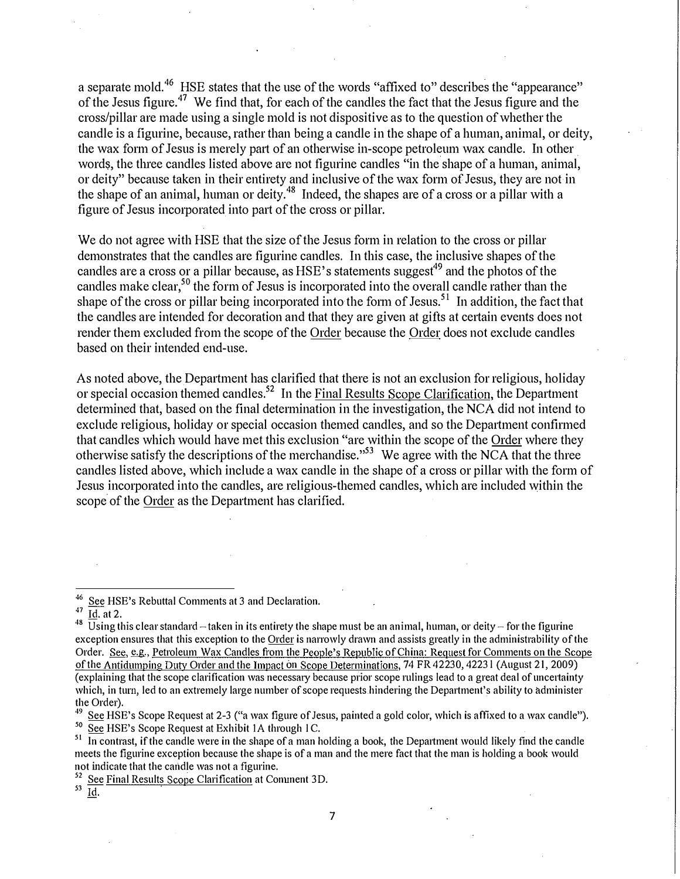a separate mold.<sup>46</sup> HSE states that the use of the words "affixed to" describes the "appearance" of the Jesus figure.47 We find that, for each of the candles the fact that the Jesus figure and the cross/pillar are made using a single mold is not dispositive as to the question of whether the candle is a figurine, because, rather than being a candle in the shape of a human, animal, or deity, the wax form of Jesus is merely part of an otherwise in-scope petroleum wax candle. In other words, the three candles listed above are not figurine candles "in the shape of a human, animal, or deity" because taken in their entirety and inclusive of the wax form of Jesus, they are not in the shape of an animal, human or deity.<sup>48</sup> Indeed, the shapes are of a cross or a pillar with a figure of Jesus incorporated into part of the cross or pillar.

We do not agree with HSE that the size of the Jesus form in relation to the cross or pillar demonstrates that the candles are figurine candles. In this case, the inclusive shapes of the candles are a cross or a pillar because, as HSE's statements suggest<sup>49</sup> and the photos of the candles make clear,<sup>50</sup> the form of Jesus is incorporated into the overall candle rather than the shape of the cross or pillar being incorporated into the form of Jesus.<sup>51</sup> In addition, the fact that the candles are intended for decoration and that they are given at gifts at certain events does not render them excluded from the scope of the Order because the Order does not exclude candles based on their intended end-use.

As noted above, the Department has clarified that there is not an exclusion for religious, holiday or special occasion themed candles.<sup>52</sup> In the Final Results Scope Clarification, the Department determined that, based on the final determination in the investigation, the NCA did not intend to exclude religious, holiday or special occasion themed candles, and so the Department confirmed that candles which would have met this exclusion "are within the scope of the Order where they otherwise satisfy the descriptions of the merchandise.<sup>553</sup> We agree with the NCA that the three candles listed above, which include a wax candle in the shape of a cross or pillar with the form of Jesus incorporated into the candles, are religious-themed candles, which are included within the scope of the Order as the Department has clarified.

<sup>&</sup>lt;sup>46</sup> See HSE's Rebuttal Comments at 3 and Declaration.

 $47 \overline{\underline{Id}}$ . at 2.

 $\frac{48}{18}$  Using this clear standard – taken in its entirety the shape must be an animal, human, or deity – for the figurine exception ensures that this exception to the Order is narrowly drawn and assists greatly in the administrability of the Order. See, e.g., Petroleum Wax Candles from the People's Republic of China: Request for Comments on the Scope of the Antidumping Duty Order and the Impact on Scope Determinations, 74 FR 42230, 42231 (August 21, 2009) (explaining that the scope clarification was necessmy because prior scope rulings lead to a great deal of uncettainty which, in turn, led to an extremely large number of scope requests hindering the Department's ability to administer the Order).

<sup>&</sup>lt;sup>49</sup> See HSE's Scope Request at 2-3 ("a wax figure of Jesus, painted a gold color, which is affixed to a wax candle").<br><sup>50</sup> See HSE's Scope Request at Exhibit 1A through LC See HSE's Scope Request at Exhibit 1A through 1C.

 $\overline{51}$  In contrast, if the candle were in the shape of a man holding a book, the Department would likely find the candle meets the figurine exception because the shape is of a man and the mere fact that the man is holding a book would not indicate that the candle was not a figurine.

<sup>&</sup>lt;sup>52</sup> See Final Results Scope Clarification at Comment 3D.

 $\frac{33}{10}$ .